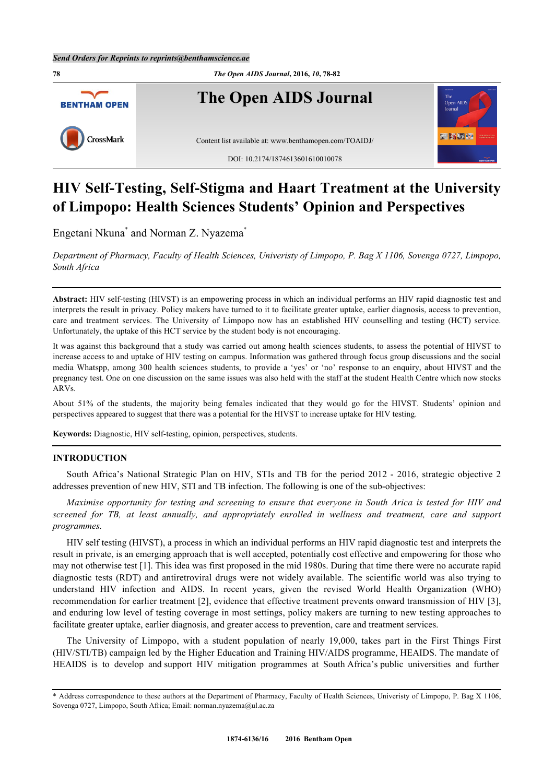

# **HIV Self-Testing, Self-Stigma and Haart Treatment at the University of Limpopo: Health Sciences Students' Opinion and Perspectives**

Engetani Nkuna<sup>[\\*](#page-0-0)</sup> and Norman Z. Nyazema<sup>\*</sup>

*Department of Pharmacy, Faculty of Health Sciences, Univeristy of Limpopo, P. Bag X 1106, Sovenga 0727, Limpopo, South Africa*

**Abstract:** HIV self-testing (HIVST) is an empowering process in which an individual performs an HIV rapid diagnostic test and interprets the result in privacy. Policy makers have turned to it to facilitate greater uptake, earlier diagnosis, access to prevention, care and treatment services. The University of Limpopo now has an established HIV counselling and testing (HCT) service. Unfortunately, the uptake of this HCT service by the student body is not encouraging.

It was against this background that a study was carried out among health sciences students, to assess the potential of HIVST to increase access to and uptake of HIV testing on campus. Information was gathered through focus group discussions and the social media Whatspp, among 300 health sciences students, to provide a 'yes' or 'no' response to an enquiry, about HIVST and the pregnancy test. One on one discussion on the same issues was also held with the staff at the student Health Centre which now stocks ARVs.

About 51% of the students, the majority being females indicated that they would go for the HIVST. Students' opinion and perspectives appeared to suggest that there was a potential for the HIVST to increase uptake for HIV testing.

**Keywords:** Diagnostic, HIV self-testing, opinion, perspectives, students.

## **INTRODUCTION**

South Africa's National Strategic Plan on HIV, STIs and TB for the period 2012 - 2016, strategic objective 2 addresses prevention of new HIV, STI and TB infection. The following is one of the sub-objectives:

*Maximise opportunity for testing and screening to ensure that everyone in South Arica is tested for HIV and screened for TB, at least annually, and appropriately enrolled in wellness and treatment, care and support programmes.*

HIV self testing (HIVST), a process in which an individual performs an HIV rapid diagnostic test and interprets the result in private, is an emerging approach that is well accepted, potentially cost effective and empowering for those who may not otherwise test [\[1](#page-4-0)]. This idea was first proposed in the mid 1980s. During that time there were no accurate rapid diagnostic tests (RDT) and antiretroviral drugs were not widely available. The scientific world was also trying to understand HIV infection and AIDS. In recent years, given the revised World Health Organization (WHO) recommendation for earlier treatment [\[2](#page-4-1)], evidence that effective treatment prevents onward transmission of HIV [[3\]](#page-4-2), and enduring low level of testing coverage in most settings, policy makers are turning to new testing approaches to facilitate greater uptake, earlier diagnosis, and greater access to prevention, care and treatment services.

The University of Limpopo, with a student population of nearly 19,000, takes part in the First Things First (HIV/STI/TB) campaign led by the Higher Education and Training HIV/AIDS programme, HEAIDS. The mandate of HEAIDS is to develop and support HIV mitigation programmes at South Africa's public universities and further

<span id="page-0-0"></span><sup>\*</sup> Address correspondence to these authors at the Department of Pharmacy, Faculty of Health Sciences, Univeristy of Limpopo, P. Bag X 1106, Sovenga 0727, Limpopo, South Africa; Email: [norman.nyazema@ul.ac.za](mailto:norman.nyazema@ul.ac.za)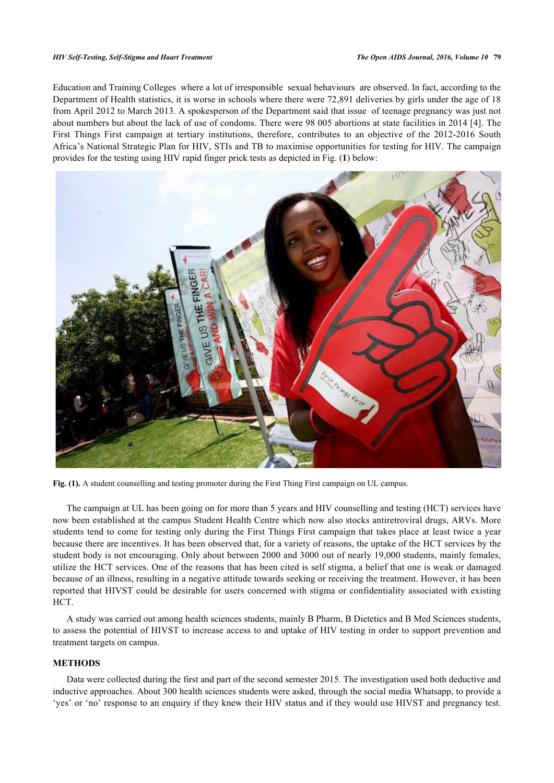Education and Training Colleges where a lot of irresponsible sexual behaviours are observed. In fact, according to the Department of Health statistics, it is worse in schools where there were 72,891 deliveries by girls under the age of 18 from April 2012 to March 2013. A spokesperson of the Department said that issue of teenage pregnancy was just not about numbers but about the lack of use of condoms. There were 98 005 abortions at state facilities in 2014 [[4\]](#page-4-3). The First Things First campaign at tertiary institutions, therefore, contributes to an objective of the 2012-2016 South Africa's National Strategic Plan for HIV, STIs and TB to maximise opportunities for testing for HIV. The campaign provides for the testing using HIV rapid finger prick tests as depicted in Fig. (**[1](#page-1-0)**) below:

<span id="page-1-0"></span>

Fig. (1). A student counselling and testing promoter during the First Thing First campaign on UL campus.

The campaign at UL has been going on for more than 5 years and HIV counselling and testing (HCT) services have now been established at the campus Student Health Centre which now also stocks antiretroviral drugs, ARVs. More students tend to come for testing only during the First Things First campaign that takes place at least twice a year because there are incentives. It has been observed that, for a variety of reasons, the uptake of the HCT services by the student body is not encouraging. Only about between 2000 and 3000 out of nearly 19,000 students, mainly females, utilize the HCT services. One of the reasons that has been cited is self stigma, a belief that one is weak or damaged because of an illness, resulting in a negative attitude towards seeking or receiving the treatment. However, it has been reported that HIVST could be desirable for users concerned with stigma or confidentiality associated with existing HCT.

A study was carried out among health sciences students, mainly B Pharm, B Dietetics and B Med Sciences students, to assess the potential of HIVST to increase access to and uptake of HIV testing in order to support prevention and treatment targets on campus.

## **METHODS**

Data were collected during the first and part of the second semester 2015. The investigation used both deductive and inductive approaches. About 300 health sciences students were asked, through the social media Whatsapp, to provide a 'yes' or 'no' response to an enquiry if they knew their HIV status and if they would use HIVST and pregnancy test.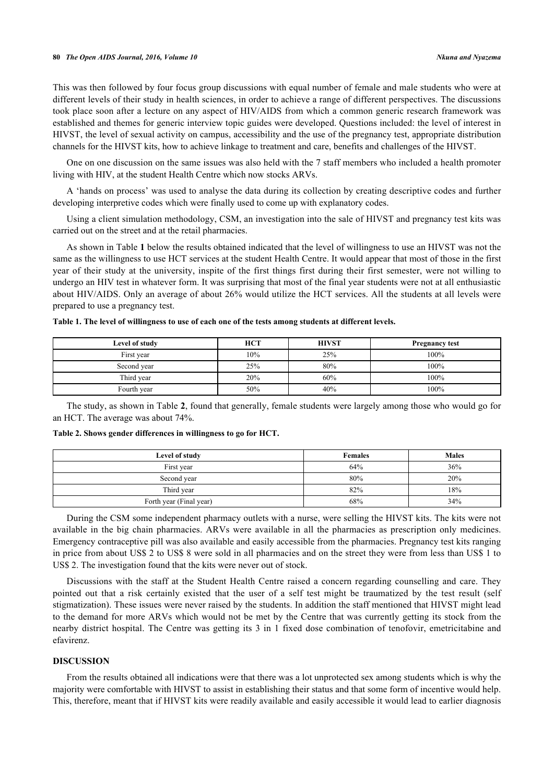This was then followed by four focus group discussions with equal number of female and male students who were at different levels of their study in health sciences, in order to achieve a range of different perspectives. The discussions took place soon after a lecture on any aspect of HIV/AIDS from which a common generic research framework was established and themes for generic interview topic guides were developed. Questions included: the level of interest in HIVST, the level of sexual activity on campus, accessibility and the use of the pregnancy test, appropriate distribution channels for the HIVST kits, how to achieve linkage to treatment and care, benefits and challenges of the HIVST.

One on one discussion on the same issues was also held with the 7 staff members who included a health promoter living with HIV, at the student Health Centre which now stocks ARVs.

A 'hands on process' was used to analyse the data during its collection by creating descriptive codes and further developing interpretive codes which were finally used to come up with explanatory codes.

Using a client simulation methodology, CSM, an investigation into the sale of HIVST and pregnancy test kits was carried out on the street and at the retail pharmacies.

As shown in Table **[1](#page-2-0)** below the results obtained indicated that the level of willingness to use an HIVST was not the same as the willingness to use HCT services at the student Health Centre. It would appear that most of those in the first year of their study at the university, inspite of the first things first during their first semester, were not willing to undergo an HIV test in whatever form. It was surprising that most of the final year students were not at all enthusiastic about HIV/AIDS. Only an average of about 26% would utilize the HCT services. All the students at all levels were prepared to use a pregnancy test.

| Level of study | <b>HCT</b> | <b>HIVST</b> | <b>Pregnancy test</b> |
|----------------|------------|--------------|-----------------------|
| First year     | 10%        | 25%          | 100%                  |
| Second year    | 25%        | 80%          | 100%                  |
| Third year     | 20%        | 60%          | 100%                  |
| Fourth year    | 50%        | 40%          | 100%                  |

<span id="page-2-0"></span>**Table 1. The level of willingness to use of each one of the tests among students at different levels.**

The study, as shown in Table **[2](#page-2-1)**, found that generally, female students were largely among those who would go for an HCT. The average was about 74%.

<span id="page-2-1"></span>**Table 2. Shows gender differences in willingness to go for HCT.**

| Level of study          | <b>Females</b> | <b>Males</b> |
|-------------------------|----------------|--------------|
| First year              | 64%            | 36%          |
| Second year             | 80%            | 20%          |
| Third year              | 82%            | 18%          |
| Forth year (Final year) | 68%            | 34%          |

During the CSM some independent pharmacy outlets with a nurse, were selling the HIVST kits. The kits were not available in the big chain pharmacies. ARVs were available in all the pharmacies as prescription only medicines. Emergency contraceptive pill was also available and easily accessible from the pharmacies. Pregnancy test kits ranging in price from about US\$ 2 to US\$ 8 were sold in all pharmacies and on the street they were from less than US\$ 1 to US\$ 2. The investigation found that the kits were never out of stock.

Discussions with the staff at the Student Health Centre raised a concern regarding counselling and care. They pointed out that a risk certainly existed that the user of a self test might be traumatized by the test result (self stigmatization). These issues were never raised by the students. In addition the staff mentioned that HIVST might lead to the demand for more ARVs which would not be met by the Centre that was currently getting its stock from the nearby district hospital. The Centre was getting its 3 in 1 fixed dose combination of tenofovir, emetricitabine and efavirenz.

# **DISCUSSION**

From the results obtained all indications were that there was a lot unprotected sex among students which is why the majority were comfortable with HIVST to assist in establishing their status and that some form of incentive would help. This, therefore, meant that if HIVST kits were readily available and easily accessible it would lead to earlier diagnosis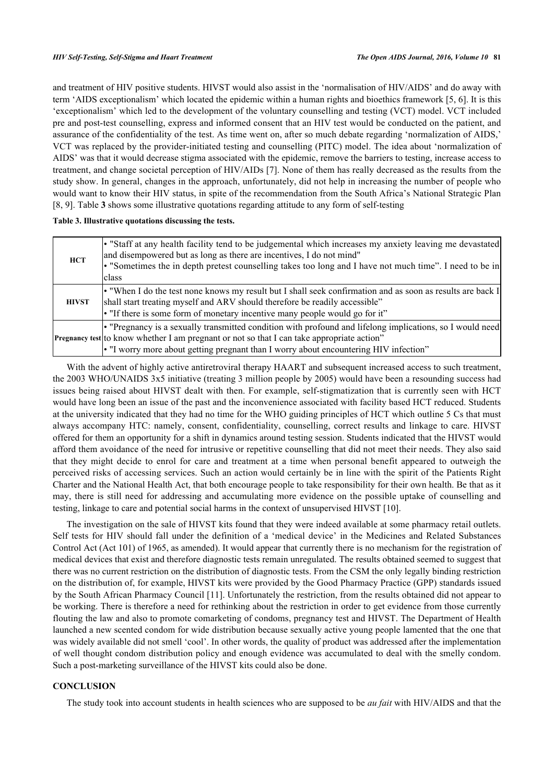and treatment of HIV positive students. HIVST would also assist in the 'normalisation of HIV/AIDS' and do away with term 'AIDS exceptionalism' which located the epidemic within a human rights and bioethics framework [[5,](#page-4-4) [6\]](#page-4-5). It is this 'exceptionalism' which led to the development of the voluntary counselling and testing (VCT) model. VCT included pre and post-test counselling, express and informed consent that an HIV test would be conducted on the patient, and assurance of the confidentiality of the test. As time went on, after so much debate regarding 'normalization of AIDS,' VCT was replaced by the provider-initiated testing and counselling (PITC) model. The idea about 'normalization of AIDS' was that it would decrease stigma associated with the epidemic, remove the barriers to testing, increase access to treatment, and change societal perception of HIV/AIDs [[7\]](#page-4-6). None of them has really decreased as the results from the study show. In general, changes in the approach, unfortunately, did not help in increasing the number of people who would want to know their HIV status, in spite of the recommendation from the South Africa's National Strategic Plan [\[8](#page-4-7), [9](#page-4-8)]. Table **[3](#page-3-0)** shows some illustrative quotations regarding attitude to any form of self-testing

#### <span id="page-3-0"></span>**Table 3. Illustrative quotations discussing the tests.**

| <b>HCT</b>   | • "Staff at any health facility tend to be judgemental which increases my anxiety leaving me devastated<br>and disempowered but as long as there are incentives, I do not mind"<br>• "Sometimes the in depth pretest counselling takes too long and I have not much time". I need to be in<br>class |
|--------------|-----------------------------------------------------------------------------------------------------------------------------------------------------------------------------------------------------------------------------------------------------------------------------------------------------|
| <b>HIVST</b> | • "When I do the test none knows my result but I shall seek confirmation and as soon as results are back I<br>shall start treating myself and ARV should therefore be readily accessible"<br>• "If there is some form of monetary incentive many people would go for it"                            |
|              | • "Pregnancy is a sexually transmitted condition with profound and lifelong implications, so I would need<br>Pregnancy test to know whether I am pregnant or not so that I can take appropriate action"<br>• "I worry more about getting pregnant than I worry about encountering HIV infection"    |

With the advent of highly active antiretroviral therapy HAART and subsequent increased access to such treatment, the 2003 WHO/UNAIDS 3x5 initiative (treating 3 million people by 2005) would have been a resounding success had issues being raised about HIVST dealt with then. For example, self-stigmatization that is currently seen with HCT would have long been an issue of the past and the inconvenience associated with facility based HCT reduced. Students at the university indicated that they had no time for the WHO guiding principles of HCT which outline 5 Cs that must always accompany HTC: namely, consent, confidentiality, counselling, correct results and linkage to care. HIVST offered for them an opportunity for a shift in dynamics around testing session. Students indicated that the HIVST would afford them avoidance of the need for intrusive or repetitive counselling that did not meet their needs. They also said that they might decide to enrol for care and treatment at a time when personal benefit appeared to outweigh the perceived risks of accessing services. Such an action would certainly be in line with the spirit of the Patients Right Charter and the National Health Act, that both encourage people to take responsibility for their own health. Be that as it may, there is still need for addressing and accumulating more evidence on the possible uptake of counselling and testing, linkage to care and potential social harms in the context of unsupervised HIVST [\[10](#page-4-9)].

The investigation on the sale of HIVST kits found that they were indeed available at some pharmacy retail outlets. Self tests for HIV should fall under the definition of a 'medical device' in the Medicines and Related Substances Control Act (Act 101) of 1965, as amended). It would appear that currently there is no mechanism for the registration of medical devices that exist and therefore diagnostic tests remain unregulated. The results obtained seemed to suggest that there was no current restriction on the distribution of diagnostic tests. From the CSM the only legally binding restriction on the distribution of, for example, HIVST kits were provided by the Good Pharmacy Practice (GPP) standards issued by the South African Pharmacy Council [[11\]](#page-4-10). Unfortunately the restriction, from the results obtained did not appear to be working. There is therefore a need for rethinking about the restriction in order to get evidence from those currently flouting the law and also to promote comarketing of condoms, pregnancy test and HIVST. The Department of Health launched a new scented condom for wide distribution because sexually active young people lamented that the one that was widely available did not smell 'cool'. In other words, the quality of product was addressed after the implementation of well thought condom distribution policy and enough evidence was accumulated to deal with the smelly condom. Such a post-marketing surveillance of the HIVST kits could also be done.

# **CONCLUSION**

The study took into account students in health sciences who are supposed to be *au fait* with HIV/AIDS and that the